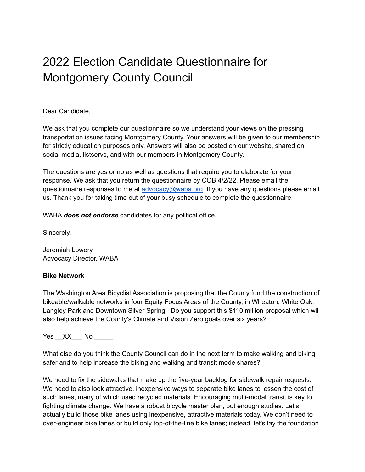# 2022 Election Candidate Questionnaire for Montgomery County Council

Dear Candidate,

We ask that you complete our questionnaire so we understand your views on the pressing transportation issues facing Montgomery County. Your answers will be given to our membership for strictly education purposes only. Answers will also be posted on our website, shared on social media, listservs, and with our members in Montgomery County.

The questions are yes or no as well as questions that require you to elaborate for your response. We ask that you return the questionnaire by COB 4/2/22. Please email the questionnaire responses to me at [advocacy@waba.org](mailto:advocacy@waba.org). If you have any questions please email us. Thank you for taking time out of your busy schedule to complete the questionnaire.

WABA *does not endorse* candidates for any political office.

Sincerely,

Jeremiah Lowery Advocacy Director, WABA

# **Bike Network**

The Washington Area Bicyclist Association is proposing that the County fund the construction of bikeable/walkable networks in four Equity Focus Areas of the County, in Wheaton, White Oak, Langley Park and Downtown Silver Spring. Do you support this \$110 million proposal which will also help achieve the County's Climate and Vision Zero goals over six years?

Yes XX No

What else do you think the County Council can do in the next term to make walking and biking safer and to help increase the biking and walking and transit mode shares?

We need to fix the sidewalks that make up the five-year backlog for sidewalk repair requests. We need to also look attractive, inexpensive ways to separate bike lanes to lessen the cost of such lanes, many of which used recycled materials. Encouraging multi-modal transit is key to fighting climate change. We have a robust bicycle master plan, but enough studies. Let's actually build those bike lanes using inexpensive, attractive materials today. We don't need to over-engineer bike lanes or build only top-of-the-line bike lanes; instead, let's lay the foundation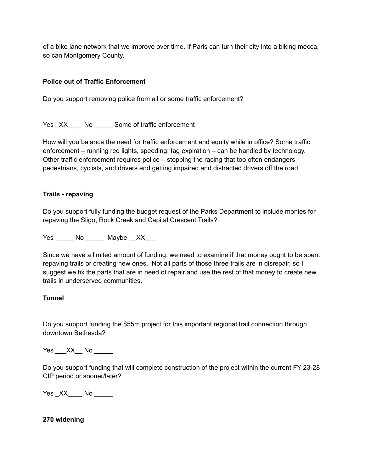of a bike lane network that we improve over time. If Paris can turn their city into a biking mecca, so can Montgomery County.

### **Police out of Traffic Enforcement**

Do you support removing police from all or some traffic enforcement?

Yes XX No Some of traffic enforcement

How will you balance the need for traffic enforcement and equity while in office? Some traffic enforcement – running red lights, speeding, tag expiration – can be handled by technology. Other traffic enforcement requires police – stopping the racing that too often endangers pedestrians, cyclists, and drivers and getting impaired and distracted drivers off the road.

#### **Trails - repaving**

Do you support fully funding the budget request of the Parks Department to include monies for repaving the Sligo, Rock Creek and Capital Crescent Trails?

Yes No Maybe XX

Since we have a limited amount of funding, we need to examine if that money ought to be spent repaving trails or creating new ones. Not all parts of those three trails are in disrepair, so I suggest we fix the parts that are in need of repair and use the rest of that money to create new trails in underserved communities.

#### **Tunnel**

Do you support funding the \$55m project for this important regional trail connection through downtown Bethesda?

Yes  $XX$  No  $-$ 

Do you support funding that will complete construction of the project within the current FY 23-28 CIP period or sooner/later?

Yes XX No No

#### **270 widening**